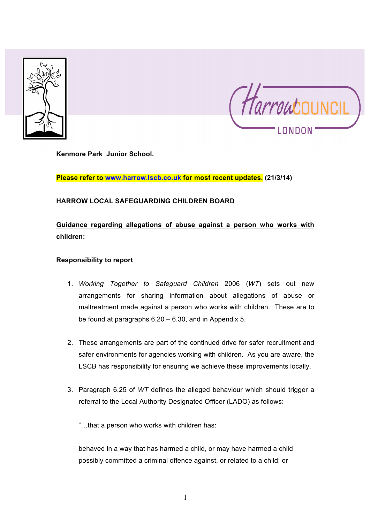



**Kenmore Park Junior School.**

**Please refer to www.harrow.lscb.co.uk for most recent updates. (21/3/14)**

### **HARROW LOCAL SAFEGUARDING CHILDREN BOARD**

# **Guidance regarding allegations of abuse against a person who works with children:**

#### **Responsibility to report**

- 1. *Working Together to Safeguard Children* 2006 (*WT*) sets out new arrangements for sharing information about allegations of abuse or maltreatment made against a person who works with children. These are to be found at paragraphs 6.20 – 6.30, and in Appendix 5.
- 2. These arrangements are part of the continued drive for safer recruitment and safer environments for agencies working with children. As you are aware, the LSCB has responsibility for ensuring we achieve these improvements locally.
- 3. Paragraph 6.25 of *WT* defines the alleged behaviour which should trigger a referral to the Local Authority Designated Officer (LADO) as follows:

"…that a person who works with children has:

behaved in a way that has harmed a child, or may have harmed a child possibly committed a criminal offence against, or related to a child; or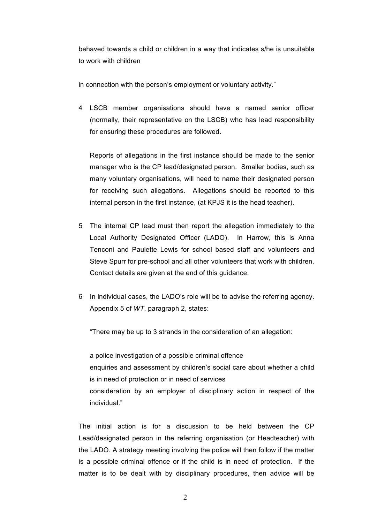behaved towards a child or children in a way that indicates s/he is unsuitable to work with children

in connection with the person's employment or voluntary activity."

4 LSCB member organisations should have a named senior officer (normally, their representative on the LSCB) who has lead responsibility for ensuring these procedures are followed.

Reports of allegations in the first instance should be made to the senior manager who is the CP lead/designated person. Smaller bodies, such as many voluntary organisations, will need to name their designated person for receiving such allegations. Allegations should be reported to this internal person in the first instance, (at KPJS it is the head teacher).

- 5 The internal CP lead must then report the allegation immediately to the Local Authority Designated Officer (LADO). In Harrow, this is Anna Tenconi and Paulette Lewis for school based staff and volunteers and Steve Spurr for pre-school and all other volunteers that work with children. Contact details are given at the end of this guidance.
- 6 In individual cases, the LADO's role will be to advise the referring agency. Appendix 5 of *WT*, paragraph 2, states:

"There may be up to 3 strands in the consideration of an allegation:

a police investigation of a possible criminal offence enquiries and assessment by children's social care about whether a child is in need of protection or in need of services consideration by an employer of disciplinary action in respect of the individual."

The initial action is for a discussion to be held between the CP Lead/designated person in the referring organisation (or Headteacher) with the LADO. A strategy meeting involving the police will then follow if the matter is a possible criminal offence or if the child is in need of protection. If the matter is to be dealt with by disciplinary procedures, then advice will be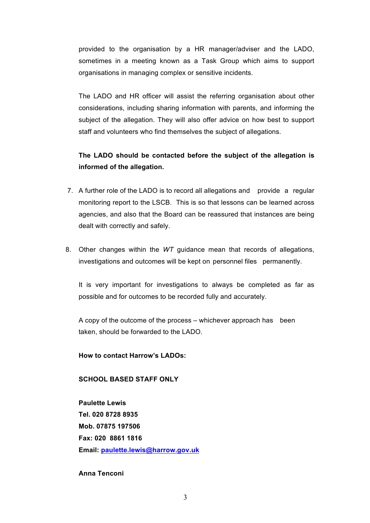provided to the organisation by a HR manager/adviser and the LADO, sometimes in a meeting known as a Task Group which aims to support organisations in managing complex or sensitive incidents.

The LADO and HR officer will assist the referring organisation about other considerations, including sharing information with parents, and informing the subject of the allegation. They will also offer advice on how best to support staff and volunteers who find themselves the subject of allegations.

## **The LADO should be contacted before the subject of the allegation is informed of the allegation.**

- 7. A further role of the LADO is to record all allegations and provide a regular monitoring report to the LSCB. This is so that lessons can be learned across agencies, and also that the Board can be reassured that instances are being dealt with correctly and safely.
- 8. Other changes within the *WT* guidance mean that records of allegations, investigations and outcomes will be kept on personnel files permanently.

It is very important for investigations to always be completed as far as possible and for outcomes to be recorded fully and accurately.

A copy of the outcome of the process – whichever approach has been taken, should be forwarded to the LADO.

**How to contact Harrow's LADOs:**

#### **SCHOOL BASED STAFF ONLY**

**Paulette Lewis Tel. 020 8728 8935 Mob. 07875 197506 Fax: 020 8861 1816 Email: paulette.lewis@harrow.gov.uk**

**Anna Tenconi**